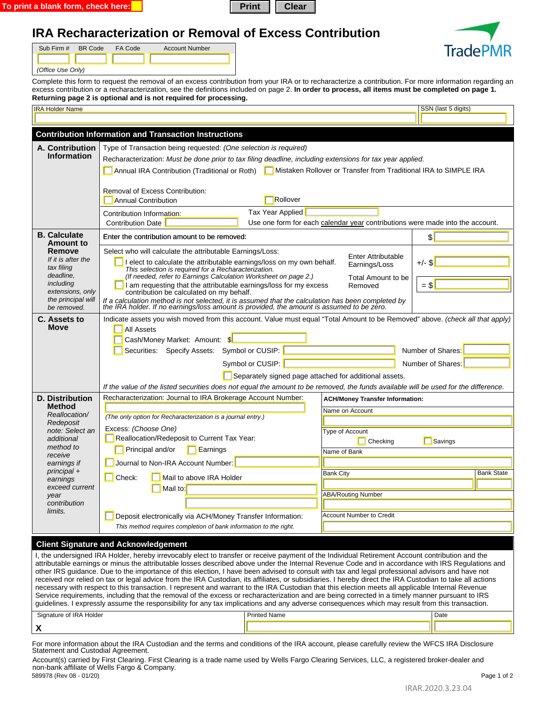| Print   Clear<br>To print a blank form, check here: |
|-----------------------------------------------------|
|-----------------------------------------------------|



## **IRA Recharacterization or Removal of Excess Contribution**

| Sub Firm # BR Code | FA Code | <b>Account Number</b> |
|--------------------|---------|-----------------------|
|                    |         |                       |
| (Office Use Only)  |         |                       |

Complete this form to request the removal of an excess contribution from your IRA or to recharacterize a contribution. For more information regarding an excess contribution or a recharacterization, see the definitions included on page 2. **In order to process, all items must be completed on page 1. Returning page 2 is optional and is not required for processing.**

|                                                                         |                                                                                                                                                                                                                                                                                                       |                                                                               | SSN (last 5 digits) |  |  |  |
|-------------------------------------------------------------------------|-------------------------------------------------------------------------------------------------------------------------------------------------------------------------------------------------------------------------------------------------------------------------------------------------------|-------------------------------------------------------------------------------|---------------------|--|--|--|
|                                                                         |                                                                                                                                                                                                                                                                                                       |                                                                               |                     |  |  |  |
|                                                                         | <b>Contribution Information and Transaction Instructions</b>                                                                                                                                                                                                                                          |                                                                               |                     |  |  |  |
| A. Contribution                                                         | Type of Transaction being requested: (One selection is required)                                                                                                                                                                                                                                      |                                                                               |                     |  |  |  |
| <b>Information</b>                                                      | Recharacterization: Must be done prior to tax filing deadline, including extensions for tax year applied.                                                                                                                                                                                             |                                                                               |                     |  |  |  |
|                                                                         | Annual IRA Contribution (Traditional or Roth) Mistaken Rollover or Transfer from Traditional IRA to SIMPLE IRA                                                                                                                                                                                        |                                                                               |                     |  |  |  |
|                                                                         |                                                                                                                                                                                                                                                                                                       |                                                                               |                     |  |  |  |
|                                                                         | Removal of Excess Contribution:                                                                                                                                                                                                                                                                       |                                                                               |                     |  |  |  |
|                                                                         | Rollover<br><b>Annual Contribution</b>                                                                                                                                                                                                                                                                |                                                                               |                     |  |  |  |
|                                                                         | Tax Year Applied<br>Contribution Information:                                                                                                                                                                                                                                                         |                                                                               |                     |  |  |  |
|                                                                         | <b>Contribution Date</b>                                                                                                                                                                                                                                                                              | Use one form for each calendar year contributions were made into the account. |                     |  |  |  |
| <b>B.</b> Calculate<br><b>Amount to</b><br>Remove<br>If it is after the | Enter the contribution amount to be removed:                                                                                                                                                                                                                                                          |                                                                               | $\frac{1}{2}$       |  |  |  |
|                                                                         |                                                                                                                                                                                                                                                                                                       |                                                                               |                     |  |  |  |
|                                                                         | Select who will calculate the attributable Earnings/Loss:<br>I elect to calculate the attributable earnings/loss on my own behalf.                                                                                                                                                                    | <b>Enter Attributable</b>                                                     | $+/-$ \$            |  |  |  |
| tax filing                                                              | This selection is required for a Recharacterization.                                                                                                                                                                                                                                                  | Earnings/Loss                                                                 |                     |  |  |  |
| deadline,<br>including                                                  | (If needed, refer to Earnings Calculation Worksheet on page 2.)<br>I am requesting that the attributable earnings/loss for my excess                                                                                                                                                                  | Total Amount to be                                                            | $=$ \$              |  |  |  |
| extensions, only                                                        | contribution be calculated on my behalf.                                                                                                                                                                                                                                                              | Removed                                                                       |                     |  |  |  |
| the principal will<br>be removed.                                       | If a calculation method is not selected, it is assumed that the calculation has been completed by the IRA holder. If no earnings/loss amount is provided, the amount is assumed to be zero.                                                                                                           |                                                                               |                     |  |  |  |
| C. Assets to                                                            | Indicate assets you wish moved from this account. Value must equal "Total Amount to be Removed" above. (check all that apply)                                                                                                                                                                         |                                                                               |                     |  |  |  |
| Move                                                                    | <b>All Assets</b>                                                                                                                                                                                                                                                                                     |                                                                               |                     |  |  |  |
|                                                                         | Cash/Money Market: Amount: \$                                                                                                                                                                                                                                                                         |                                                                               |                     |  |  |  |
|                                                                         | Number of Shares:<br>Securities: Specify Assets: Symbol or CUSIP:                                                                                                                                                                                                                                     |                                                                               |                     |  |  |  |
|                                                                         | Symbol or CUSIP:<br>Number of Shares:                                                                                                                                                                                                                                                                 |                                                                               |                     |  |  |  |
|                                                                         |                                                                                                                                                                                                                                                                                                       | Separately signed page attached for additional assets.                        |                     |  |  |  |
|                                                                         | If the value of the listed securities does not equal the amount to be removed, the funds available will be used for the difference.                                                                                                                                                                   |                                                                               |                     |  |  |  |
| <b>D. Distribution</b>                                                  | Recharacterization: Journal to IRA Brokerage Account Number:                                                                                                                                                                                                                                          | <b>ACH/Money Transfer Information:</b>                                        |                     |  |  |  |
| <b>Method</b>                                                           |                                                                                                                                                                                                                                                                                                       | Name on Account                                                               |                     |  |  |  |
| Reallocation/<br>Redeposit                                              | (The only option for Recharacterization is a journal entry.)                                                                                                                                                                                                                                          |                                                                               |                     |  |  |  |
| note: Select an                                                         | Excess: (Choose One)                                                                                                                                                                                                                                                                                  | Type of Account                                                               |                     |  |  |  |
| additional<br>method to                                                 | Reallocation/Redeposit to Current Tax Year:                                                                                                                                                                                                                                                           | <b>I</b> Checking                                                             | Savings             |  |  |  |
| receive                                                                 | Principal and/or<br>Earnings                                                                                                                                                                                                                                                                          | Name of Bank                                                                  |                     |  |  |  |
| earnings if                                                             | Journal to Non-IRA Account Number                                                                                                                                                                                                                                                                     |                                                                               |                     |  |  |  |
|                                                                         |                                                                                                                                                                                                                                                                                                       |                                                                               |                     |  |  |  |
| principal +<br>earnings                                                 | Mail to above IRA Holder<br>Check:                                                                                                                                                                                                                                                                    | <b>Bank City</b>                                                              | <b>Bank State</b>   |  |  |  |
| exceed current                                                          | Mail to:                                                                                                                                                                                                                                                                                              |                                                                               |                     |  |  |  |
| year<br>contribution                                                    |                                                                                                                                                                                                                                                                                                       | <b>ABA/Routing Number</b>                                                     |                     |  |  |  |
| limits.                                                                 |                                                                                                                                                                                                                                                                                                       |                                                                               |                     |  |  |  |
|                                                                         | Deposit electronically via ACH/Money Transfer Information:                                                                                                                                                                                                                                            | <b>Account Number to Credit</b>                                               |                     |  |  |  |
|                                                                         | This method requires completion of bank information to the right.                                                                                                                                                                                                                                     |                                                                               |                     |  |  |  |
|                                                                         | <b>Client Signature and Acknowledgement</b>                                                                                                                                                                                                                                                           |                                                                               |                     |  |  |  |
|                                                                         | I, the undersigned IRA Holder, hereby irrevocably elect to transfer or receive payment of the Individual Retirement Account contribution and the                                                                                                                                                      |                                                                               |                     |  |  |  |
|                                                                         | attributable earnings or minus the attributable losses described above under the Internal Revenue Code and in accordance with IRS Regulations and<br>other IRS quidance. Due to the importance of this election, I have been advised to consult with tax and legal professional advisors and have not |                                                                               |                     |  |  |  |
|                                                                         | received nor relied on tax or legal advice from the IRA Custodian, its affiliates, or subsidiaries. I hereby direct the IRA Custodian to take all actions                                                                                                                                             |                                                                               |                     |  |  |  |
|                                                                         | necessary with respect to this transaction. I represent and warrant to the IRA Custodian that this election meets all applicable Internal Revenue                                                                                                                                                     |                                                                               |                     |  |  |  |
|                                                                         | Service requirements, including that the removal of the excess or recharacterization and are being corrected in a timely manner pursuant to IRS<br>guidelines. I expressly assume the responsibility for any tax implications and any adverse consequences which may result from this transaction.    |                                                                               |                     |  |  |  |
| Signature of IRA Holder                                                 | <b>Printed Name</b>                                                                                                                                                                                                                                                                                   |                                                                               | Date                |  |  |  |

For more information about the IRA Custodian and the terms and conditions of the IRA account, please carefully review the WFCS IRA Disclosure Statement and Custodial Agreement.

Account(s) carried by First Clearing. First Clearing is a trade name used by Wells Fargo Clearing Services, LLC, a registered broker-dealer and non-bank affiliate of Wells Fargo & Company.